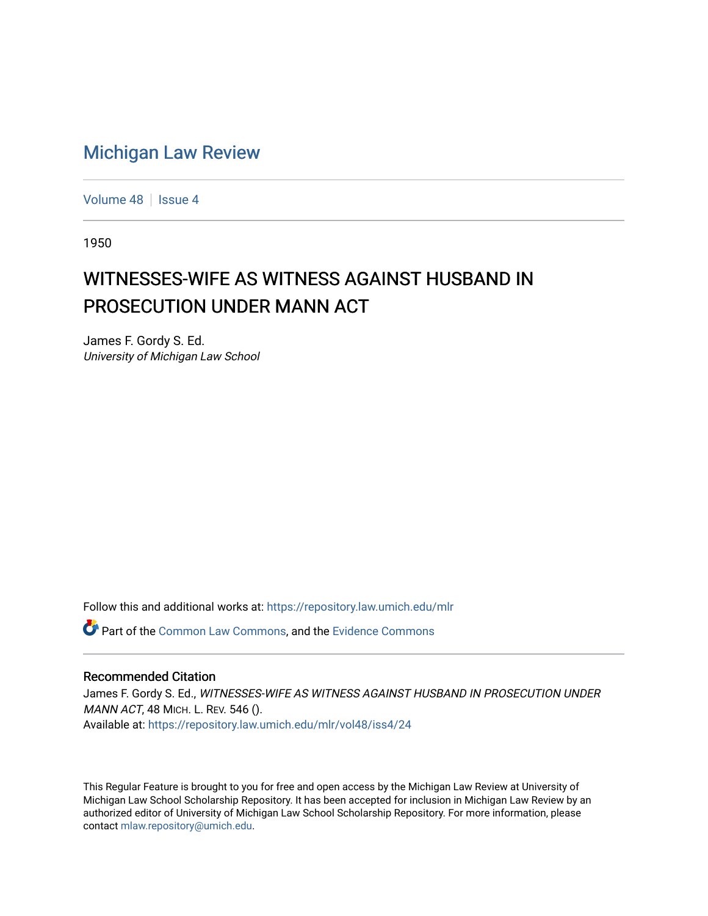## [Michigan Law Review](https://repository.law.umich.edu/mlr)

[Volume 48](https://repository.law.umich.edu/mlr/vol48) | [Issue 4](https://repository.law.umich.edu/mlr/vol48/iss4)

1950

## WITNESSES-WIFE AS WITNESS AGAINST HUSBAND IN PROSECUTION UNDER MANN ACT

James F. Gordy S. Ed. University of Michigan Law School

Follow this and additional works at: [https://repository.law.umich.edu/mlr](https://repository.law.umich.edu/mlr?utm_source=repository.law.umich.edu%2Fmlr%2Fvol48%2Fiss4%2F24&utm_medium=PDF&utm_campaign=PDFCoverPages) 

Part of the [Common Law Commons,](http://network.bepress.com/hgg/discipline/1120?utm_source=repository.law.umich.edu%2Fmlr%2Fvol48%2Fiss4%2F24&utm_medium=PDF&utm_campaign=PDFCoverPages) and the [Evidence Commons](http://network.bepress.com/hgg/discipline/601?utm_source=repository.law.umich.edu%2Fmlr%2Fvol48%2Fiss4%2F24&utm_medium=PDF&utm_campaign=PDFCoverPages) 

## Recommended Citation

James F. Gordy S. Ed., WITNESSES-WIFE AS WITNESS AGAINST HUSBAND IN PROSECUTION UNDER MANN ACT, 48 MICH. L. REV. 546 (). Available at: [https://repository.law.umich.edu/mlr/vol48/iss4/24](https://repository.law.umich.edu/mlr/vol48/iss4/24?utm_source=repository.law.umich.edu%2Fmlr%2Fvol48%2Fiss4%2F24&utm_medium=PDF&utm_campaign=PDFCoverPages) 

This Regular Feature is brought to you for free and open access by the Michigan Law Review at University of Michigan Law School Scholarship Repository. It has been accepted for inclusion in Michigan Law Review by an authorized editor of University of Michigan Law School Scholarship Repository. For more information, please contact [mlaw.repository@umich.edu](mailto:mlaw.repository@umich.edu).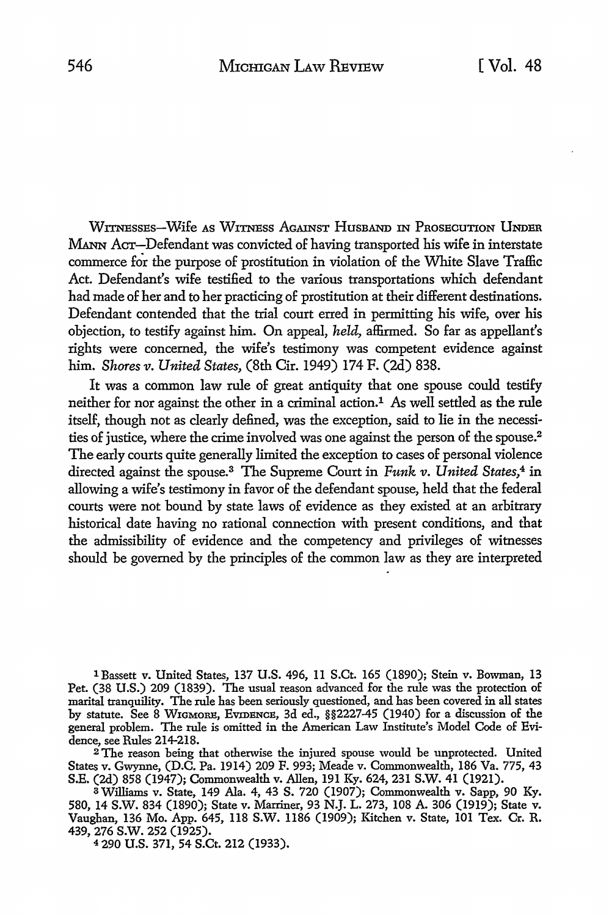WITNEssEs-Wife AS WITNESS AGAINST HusBAND IN PROSECUTION UNDER MANN ACT-Defendant was convicted of having transported his wife in interstate commerce for the purpose of prostitution in violation of the White Slave Traffic Act. Defendant's wife testified to the various transportations which defendant had made of her and to her practicing of prostitution at their different destinations. Defendant contended that the trial court erred in permitting his wife, over **his**  objection, to testify against him. On appeal, *held,* affirmed. So far as appellant's rights were concerned, the wife's testimony was competent evidence against him. *Shores v. United States,* (8th Cir. 1949) 174 F. (2d) 838.

It was a common law rule of great antiquity that one spouse could testify neither for nor against the other in a criminal action.1 As well settled as the rule itself, though not as clearly defined, was the exception, said *to* lie in the necessities of justice, where the crime involved was one against the person of the spouse.<sup>2</sup> The early courts quite generally limited the exception to cases of personal violence directed against the spouse.3 The Supreme Court in *Funk v. United States,4* in allowing a wife's testimony in favor of the defendant spouse, held that the federal courts were not bound by state laws of evidence as they existed at an arbitrary historical date having no rational connection with present conditions, and that the admissibility of evidence and the competency and privileges of witnesses should be governed by the principles of the common law as they are interpreted

<sup>1</sup> Bassett v. United States, 137 U.S. 496, 11 S.Ct. 165 (1890); Stein v. Bowman, 13 Pet. (38 U.S.) 209 (1839). The usual reason advanced for the rule was the protection of marital tranquility. The rule has been seriously questioned, and has been covered in all states by statute. See 8 WIGMORB, EVIDENCE, 3d ed., §§2227-45 (1940) for a discussion of the general problem. The rule is omitted in the American Law Institute's Model Code of Evidence, see Rules 214-218.

<sup>2</sup>The reason being that otherwise the injured spouse would be unprotected. United States v. Gwynne, (D.C. Pa. 1914) 209 F. 993; Meade v. Commonwealth, 186 Va. 775, 43 S.E. (2d) 858 (1947); Commonwealth v. Allen, 191 Ky. 624, 231 S.W. 41 (1921).

<sup>3</sup>Williams v. State, 149 Ala. 4, 43 S. 720 (1907); Commonwealth v. Sapp, 90 Ky. 580, 14 S.W. 834 (1890); State v. Marriner, 93 N.J. L. 273, 108 A. 306 (1919); State v. Vaughan, 136 Mo. App. 645, 118 S.W. 1186 (1909); Kitchen v. State, 101 Tex. Cr. R. 439, 276 s.w. 252 (1925).

4 290 U.S. 371, 54 S.Ct. 212 (1933).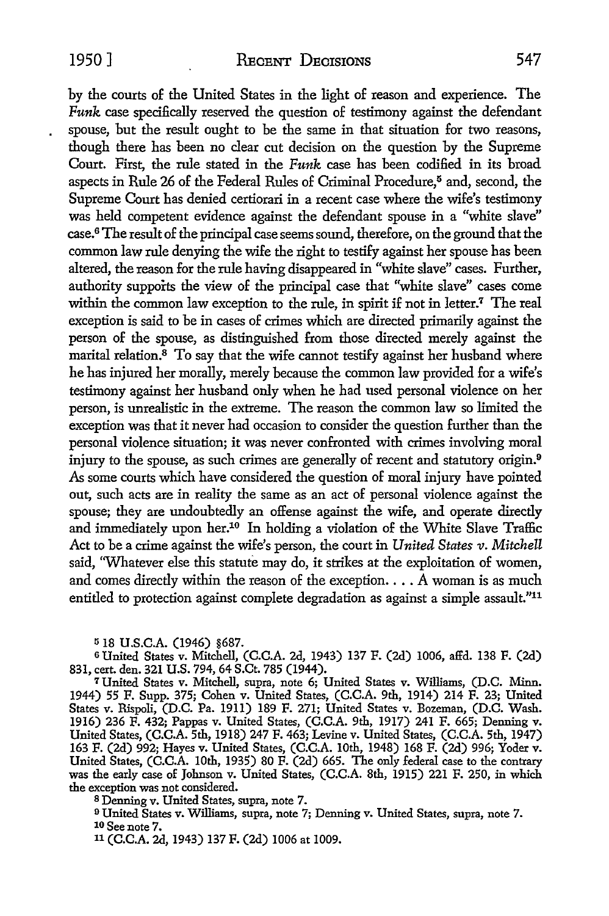by the courts of the United States in the light of reason and experience. The Funk case specifically reserved the question of testimony against the defendant spouse, but the result ought to be the same in that situation for two reasons, though there has been no clear cut decision on the question by the Supreme Court. First, the rule stated in the Funk case has been codified in its broad aspects in Rule 26 of the Federal Rules of Criminal Procedure,<sup>5</sup> and, second, the Supreme Court has denied certiorari in a recent case where the wife's testimony was held competent evidence against the defendant spouse in a "white slave" case.6 The result of the principal case seems sound, therefore, on the ground that the common law rule denying the wife the right to testify against her spouse has been altered, the reason for the rule having disappeared in "white slave" cases. Further, authority supports the view of the principal case that "white slave" cases come within the common law exception to the rule, in spirit if not in letter.<sup>7</sup> The real exception is said to be in cases of crimes which are directed primarily against the person of the spouse, as distinguished from those directed merely against the marital relation.<sup>8</sup> To say that the wife cannot testify against her husband where he has injured her morally, merely because the common law provided for a wife's testimony against her husband only when he had used personal violence on her person, is unrealistic in the extreme. The reason the common law so limited the exception was that it never had occasion to consider the question further than the personal violence situation; it was never confronted with crimes involving moral injury to the spouse, as such crimes are generally of recent and statutory origin.<sup>9</sup> *As* some courts which have considered the question of moral injury have pointed out, such acts are in reality the same as an act of personal violence against the spouse; they are undoubtedly an offense against the wife, and operate directly and immediately upon her.10 In holding a violation of the White Slave Traffic Act to be a crime against the wife's person, the court **in** *United States v. Mitchell*  said, 'Whatever else this statute may do, it strikes at the exploitation of women, and comes directly within the reason of the exception.  $\ldots$  A woman is as much entitled to protection against complete degradation as against a simple assault."<sup>11</sup>

518 **U.S.C.A.** (1946) §687.

<sup>6</sup>United States v. Mitchell, (C.C.A. 2d, 1943) 137 F. (2d) 1006, affd. 138 F. (2d) 831, cert. den. 321 U.S. 794, 64 S.Ct. 785 (1944).

<sup>7</sup>United States v. Mitchell, supra, note 6; United States v. Williams, (D.C. Minn. 1944) 55 F. Supp. 375; Cohen v. United States, (C.C.A. 9th, 1914) 214 F. 23; United States v. Rispoli, (D.C. Pa. 1911) 189 F. 271; United States v. Bozeman, (D.C. Wash. 1916) 236 F. 432; Pappas v. United States, (C.C.A. 9th, 1917) 241 F. 665; Denning v. United States, (C.C.A. 5th, 1918) 247 F. 463; Levine v. United States, (C.C.A. 5th, 1947) 163 F. (2d) 992; Hayes v. United States, (C.C.A. 10th, 1948) 168 F. (2d) 996; Yoder v. United States, (C.C.A. 10th, 1935) 80 F. (2d) 665. The only federal case to the contrary was the early case of Johnson v. United States, (C.C.A. 8th, 1915) 221 F. 250, in which the exception was not considered.

8 Denning v. United States, supra, note 7.

<sup>9</sup>United States v. Williams, supra, note 7; Denning v. United States, supra, note 7. 10 See note 7.

11 (C.C.A. 2d, 1943) 137 F. (2d) 1006 at 1009.